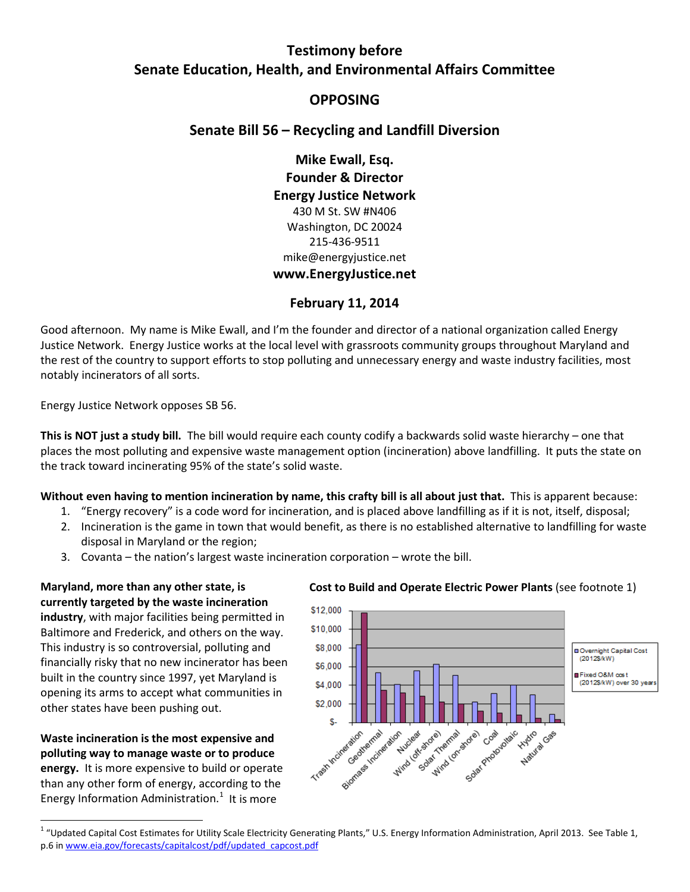# **Testimony before Senate Education, Health, and Environmental Affairs Committee**

# **OPPOSING**

# **Senate Bill 56 – Recycling and Landfill Diversion**

**Mike Ewall, Esq. Founder & Director Energy Justice Network** 430 M St. SW #N406 Washington, DC 20024 215-436-9511 mike@energyjustice.net **www.EnergyJustice.net**

## **February 11, 2014**

Good afternoon. My name is Mike Ewall, and I'm the founder and director of a national organization called Energy Justice Network. Energy Justice works at the local level with grassroots community groups throughout Maryland and the rest of the country to support efforts to stop polluting and unnecessary energy and waste industry facilities, most notably incinerators of all sorts.

Energy Justice Network opposes SB 56.

**This is NOT just a study bill.** The bill would require each county codify a backwards solid waste hierarchy – one that places the most polluting and expensive waste management option (incineration) above landfilling. It puts the state on the track toward incinerating 95% of the state's solid waste.

**Without even having to mention incineration by name, this crafty bill is all about just that.** This is apparent because:

- 1. "Energy recovery" is a code word for incineration, and is placed above landfilling as if it is not, itself, disposal;
- 2. Incineration is the game in town that would benefit, as there is no established alternative to landfilling for waste disposal in Maryland or the region;
- 3. Covanta the nation's largest waste incineration corporation wrote the bill.

**Maryland, more than any other state, is currently targeted by the waste incineration industry**, with major facilities being permitted in Baltimore and Frederick, and others on the way. This industry is so controversial, polluting and financially risky that no new incinerator has been built in the country since 1997, yet Maryland is opening its arms to accept what communities in other states have been pushing out.

<span id="page-0-1"></span>**Waste incineration is the most expensive and polluting way to manage waste or to produce energy.** It is more expensive to build or operate than any other form of energy, according to the Energy Information Administration. $1$  It is more

#### **Cost to Build and Operate Electric Power Plants** (see footnote 1)



<span id="page-0-0"></span><sup>&</sup>lt;sup>1</sup> "Updated Capital Cost Estimates for Utility Scale Electricity Generating Plants," U.S. Energy Information Administration, April 2013. See Table 1, p.6 i[n www.eia.gov/forecasts/capitalcost/pdf/updated\\_capcost.pdf](http://www.eia.gov/forecasts/capitalcost/pdf/updated_capcost.pdf)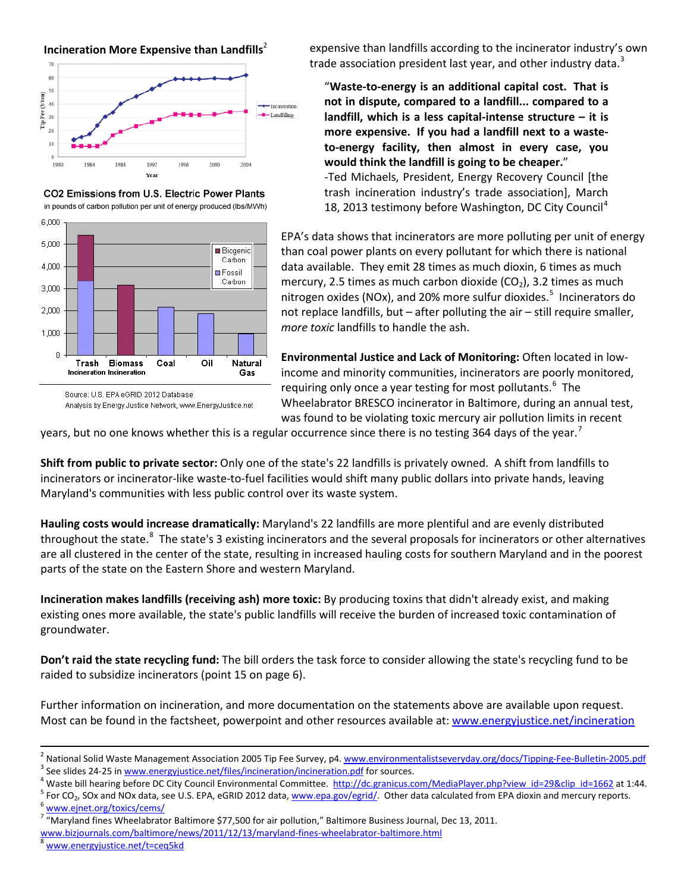









Analysis by Energy Justice Network, www.EnergyJustice.net

expensive than landfills according to the incinerator industry's own trade association president last year, and other industry data.<sup>[3](#page-1-0)</sup>

"**Waste-to-energy is an additional capital cost. That is not in dispute, compared to a landfill... compared to a landfill, which is a less capital-intense structure – it is more expensive. If you had a landfill next to a wasteto-energy facility, then almost in every case, you would think the landfill is going to be cheaper.**" -Ted Michaels, President, Energy Recovery Council [the trash incineration industry's trade association], March 18, 2013 testimony before Washington, DC City Council<sup>[4](#page-1-1)</sup>

EPA's data shows that incinerators are more polluting per unit of energy than coal power plants on every pollutant for which there is national data available. They emit 28 times as much dioxin, 6 times as much mercury, 2.5 times as much carbon dioxide  $(CO<sub>2</sub>)$ , 3.2 times as much nitrogen oxides (NOx), and 20% more sulfur dioxides.<sup>[5](#page-1-2)</sup> Incinerators do not replace landfills, but – after polluting the air – still require smaller, *more toxic* landfills to handle the ash.

**Environmental Justice and Lack of Monitoring:** Often located in lowincome and minority communities, incinerators are poorly monitored, requiring only once a year testing for most pollutants.<sup>[6](#page-1-3)</sup> The Wheelabrator BRESCO incinerator in Baltimore, during an annual test, was found to be violating toxic mercury air pollution limits in recent

years, but no one knows whether this is a regular occurrence since there is no testing 364 days of the year.<sup>[7](#page-1-4)</sup>

**Shift from public to private sector:** Only one of the state's 22 landfills is privately owned. A shift from landfills to incinerators or incinerator-like waste-to-fuel facilities would shift many public dollars into private hands, leaving Maryland's communities with less public control over its waste system.

**Hauling costs would increase dramatically:** Maryland's 22 landfills are more plentiful and are evenly distributed throughout the state.<sup>[8](#page-1-5)</sup> The state's 3 existing incinerators and the several proposals for incinerators or other alternatives are all clustered in the center of the state, resulting in increased hauling costs for southern Maryland and in the poorest parts of the state on the Eastern Shore and western Maryland.

**Incineration makes landfills (receiving ash) more toxic:** By producing toxins that didn't already exist, and making existing ones more available, the state's public landfills will receive the burden of increased toxic contamination of groundwater.

**Don't raid the state recycling fund:** The bill orders the task force to consider allowing the state's recycling fund to be raided to subsidize incinerators (point 15 on page 6).

Further information on incineration, and more documentation on the statements above are available upon request. Most can be found in the factsheet, powerpoint and other resources available at: [www.energyjustice.net/incineration](http://www.energyjustice.net/incineration)

- <span id="page-1-2"></span><span id="page-1-1"></span>
- <span id="page-1-0"></span><sup>2</sup> National Solid Waste Management Association 2005 Tip Fee Survey, p4. [www.environmentalistseveryday.org/docs/Tipping-Fee-Bulletin-2005.pdf](http://www.environmentalistseveryday.org/docs/Tipping-Fee-Bulletin-2005.pdf)<br>
<sup>3</sup> See slides 24-25 in www.energyjustice.net/files/incineration/incineration.

<span id="page-1-5"></span>[www.bizjournals.com/baltimore/news/2011/12/13/maryland-fines-wheelabrator-baltimore.html](http://www.bizjournals.com/baltimore/news/2011/12/13/maryland-fines-wheelabrator-baltimore.html) 8 [www.energyjustice.net/t=ceq5kd](http://www.energyjustice.net/t=ceq5kd)

<span id="page-1-4"></span><span id="page-1-3"></span><sup>&</sup>lt;sup>7</sup> "Maryland fines Wheelabrator Baltimore \$77,500 for air pollution," Baltimore Business Journal, Dec 13, 2011.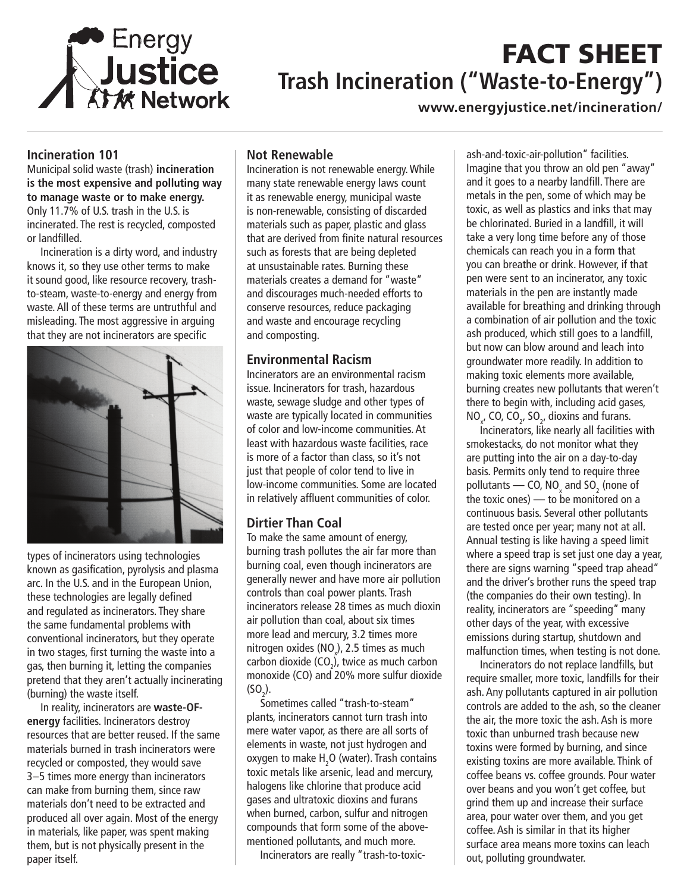

# FACT SHEET **Trash Incineration ("Waste-to-Energy")**

**www.energyjustice.net/incineration/**

#### **Incineration 101**

Municipal solid waste (trash) **incineration is the most expensive and polluting way to manage waste or to make energy.** Only 11.7% of U.S. trash in the U.S. is incinerated. The rest is recycled, composted or landfilled.

Incineration is a dirty word, and industry knows it, so they use other terms to make it sound good, like resource recovery, trashto-steam, waste-to-energy and energy from waste. All of these terms are untruthful and misleading. The most aggressive in arguing that they are not incinerators are specific



types of incinerators using technologies known as gasification, pyrolysis and plasma arc. In the U.S. and in the European Union, these technologies are legally defined and regulated as incinerators. They share the same fundamental problems with conventional incinerators, but they operate in two stages, first turning the waste into a gas, then burning it, letting the companies pretend that they aren't actually incinerating (burning) the waste itself.

In reality, incinerators are **waste-OFenergy** facilities. Incinerators destroy resources that are better reused. If the same materials burned in trash incinerators were recycled or composted, they would save 3–5 times more energy than incinerators can make from burning them, since raw materials don't need to be extracted and produced all over again. Most of the energy in materials, like paper, was spent making them, but is not physically present in the paper itself.

#### **Not Renewable**

Incineration is not renewable energy. While many state renewable energy laws count it as renewable energy, municipal waste is non-renewable, consisting of discarded materials such as paper, plastic and glass that are derived from finite natural resources such as forests that are being depleted at unsustainable rates. Burning these materials creates a demand for "waste" and discourages much-needed efforts to conserve resources, reduce packaging and waste and encourage recycling and composting.

#### **Environmental Racism**

Incinerators are an environmental racism issue. Incinerators for trash, hazardous waste, sewage sludge and other types of waste are typically located in communities of color and low-income communities. At least with hazardous waste facilities, race is more of a factor than class, so it's not just that people of color tend to live in low-income communities. Some are located in relatively affluent communities of color.

### **Dirtier Than Coal**

To make the same amount of energy, burning trash pollutes the air far more than burning coal, even though incinerators are generally newer and have more air pollution controls than coal power plants. Trash incinerators release 28 times as much dioxin air pollution than coal, about six times more lead and mercury, 3.2 times more nitrogen oxides (NO<sub>x</sub>), 2.5 times as much carbon dioxide (CO<sub>2</sub>), twice as much carbon monoxide (CO) and 20% more sulfur dioxide  $(SO_2)$ .

Sometimes called "trash-to-steam" plants, incinerators cannot turn trash into mere water vapor, as there are all sorts of elements in waste, not just hydrogen and oxygen to make  $H_2O$  (water). Trash contains toxic metals like arsenic, lead and mercury, halogens like chlorine that produce acid gases and ultratoxic dioxins and furans when burned, carbon, sulfur and nitrogen compounds that form some of the abovementioned pollutants, and much more.

Incinerators are really "trash-to-toxic-

ash-and-toxic-air-pollution" facilities. Imagine that you throw an old pen "away" and it goes to a nearby landfill. There are metals in the pen, some of which may be toxic, as well as plastics and inks that may be chlorinated. Buried in a landfill, it will take a very long time before any of those chemicals can reach you in a form that you can breathe or drink. However, if that pen were sent to an incinerator, any toxic materials in the pen are instantly made available for breathing and drinking through a combination of air pollution and the toxic ash produced, which still goes to a landfill, but now can blow around and leach into groundwater more readily. In addition to making toxic elements more available, burning creates new pollutants that weren't there to begin with, including acid gases,  $NO_{x}$ , CO, CO<sub>2</sub>, SO<sub>2</sub>, dioxins and furans.

Incinerators, like nearly all facilities with smokestacks, do not monitor what they are putting into the air on a day-to-day basis. Permits only tend to require three pollutants — CO, NO<sub>x</sub> and SO<sub>2</sub> (none of the toxic ones) — to be monitored on a continuous basis. Several other pollutants are tested once per year; many not at all. Annual testing is like having a speed limit where a speed trap is set just one day a year, there are signs warning "speed trap ahead" and the driver's brother runs the speed trap (the companies do their own testing). In reality, incinerators are "speeding" many other days of the year, with excessive emissions during startup, shutdown and malfunction times, when testing is not done.

Incinerators do not replace landfills, but require smaller, more toxic, landfills for their ash. Any pollutants captured in air pollution controls are added to the ash, so the cleaner the air, the more toxic the ash. Ash is more toxic than unburned trash because new toxins were formed by burning, and since existing toxins are more available. Think of coffee beans vs. coffee grounds. Pour water over beans and you won't get coffee, but grind them up and increase their surface area, pour water over them, and you get coffee. Ash is similar in that its higher surface area means more toxins can leach out, polluting groundwater.